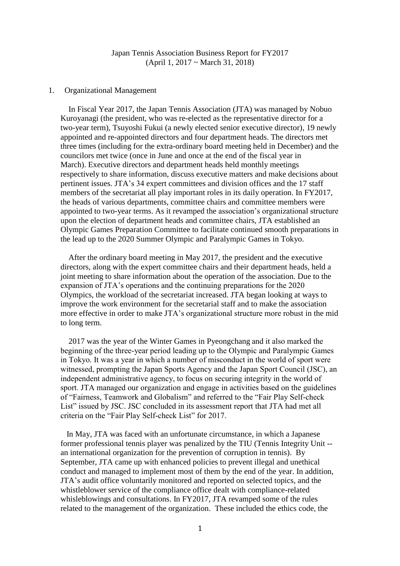## Japan Tennis Association Business Report for FY2017 (April 1, 2017 ~ March 31, 2018)

## 1. Organizational Management

In Fiscal Year 2017, the Japan Tennis Association (JTA) was managed by Nobuo Kuroyanagi (the president, who was re-elected as the representative director for a two-year term), Tsuyoshi Fukui (a newly elected senior executive director), 19 newly appointed and re-appointed directors and four department heads. The directors met three times (including for the extra-ordinary board meeting held in December) and the councilors met twice (once in June and once at the end of the fiscal year in March). Executive directors and department heads held monthly meetings respectively to share information, discuss executive matters and make decisions about pertinent issues. JTA's 34 expert committees and division offices and the 17 staff members of the secretariat all play important roles in its daily operation. In FY2017, the heads of various departments, committee chairs and committee members were appointed to two-year terms. As it revamped the association's organizational structure upon the election of department heads and committee chairs, JTA established an Olympic Games Preparation Committee to facilitate continued smooth preparations in the lead up to the 2020 Summer Olympic and Paralympic Games in Tokyo.

After the ordinary board meeting in May 2017, the president and the executive directors, along with the expert committee chairs and their department heads, held a joint meeting to share information about the operation of the association. Due to the expansion of JTA's operations and the continuing preparations for the 2020 Olympics, the workload of the secretariat increased. JTA began looking at ways to improve the work environment for the secretarial staff and to make the association more effective in order to make JTA's organizational structure more robust in the mid to long term.

2017 was the year of the Winter Games in Pyeongchang and it also marked the beginning of the three-year period leading up to the Olympic and Paralympic Games in Tokyo. It was a year in which a number of misconduct in the world of sport were witnessed, prompting the Japan Sports Agency and the Japan Sport Council (JSC), an independent administrative agency, to focus on securing integrity in the world of sport. JTA managed our organization and engage in activities based on the guidelines of "Fairness, Teamwork and Globalism" and referred to the "Fair Play Self-check List" issued by JSC. JSC concluded in its assessment report that JTA had met all criteria on the "Fair Play Self-check List" for 2017.

 In May, JTA was faced with an unfortunate circumstance, in which a Japanese former professional tennis player was penalized by the TIU (Tennis Integrity Unit - an international organization for the prevention of corruption in tennis). By September, JTA came up with enhanced policies to prevent illegal and unethical conduct and managed to implement most of them by the end of the year. In addition, JTA's audit office voluntarily monitored and reported on selected topics, and the whistleblower service of the compliance office dealt with compliance-related whisleblowings and consultations. In FY2017, JTA revamped some of the rules related to the management of the organization. These included the ethics code, the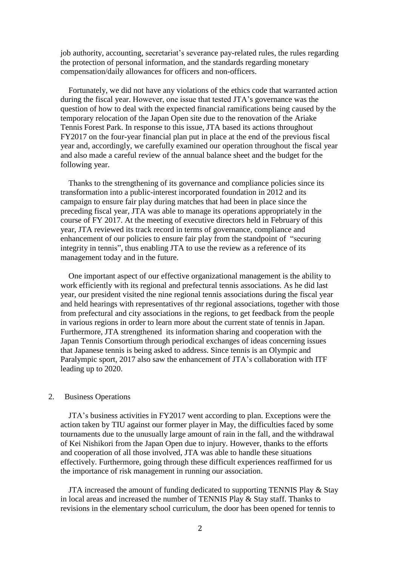job authority, accounting, secretariat's severance pay-related rules, the rules regarding the protection of personal information, and the standards regarding monetary compensation/daily allowances for officers and non-officers.

Fortunately, we did not have any violations of the ethics code that warranted action during the fiscal year. However, one issue that tested JTA's governance was the question of how to deal with the expected financial ramifications being caused by the temporary relocation of the Japan Open site due to the renovation of the Ariake Tennis Forest Park. In response to this issue, JTA based its actions throughout FY2017 on the four-year financial plan put in place at the end of the previous fiscal year and, accordingly, we carefully examined our operation throughout the fiscal year and also made a careful review of the annual balance sheet and the budget for the following year.

Thanks to the strengthening of its governance and compliance policies since its transformation into a public-interest incorporated foundation in 2012 and its campaign to ensure fair play during matches that had been in place since the preceding fiscal year, JTA was able to manage its operations appropriately in the course of FY 2017. At the meeting of executive directors held in February of this year, JTA reviewed its track record in terms of governance, compliance and enhancement of our policies to ensure fair play from the standpoint of "securing integrity in tennis", thus enabling JTA to use the review as a reference of its management today and in the future.

One important aspect of our effective organizational management is the ability to work efficiently with its regional and prefectural tennis associations. As he did last year, our president visited the nine regional tennis associations during the fiscal year and held hearings with representatives of thr regional associations, together with those from prefectural and city associations in the regions, to get feedback from the people in various regions in order to learn more about the current state of tennis in Japan. Furthermore, JTA strengthened its information sharing and cooperation with the Japan Tennis Consortium through periodical exchanges of ideas concerning issues that Japanese tennis is being asked to address. Since tennis is an Olympic and Paralympic sport, 2017 also saw the enhancement of JTA's collaboration with ITF leading up to 2020.

## 2. Business Operations

JTA's business activities in FY2017 went according to plan. Exceptions were the action taken by TIU against our former player in May, the difficulties faced by some tournaments due to the unusually large amount of rain in the fall, and the withdrawal of Kei Nishikori from the Japan Open due to injury. However, thanks to the efforts and cooperation of all those involved, JTA was able to handle these situations effectively. Furthermore, going through these difficult experiences reaffirmed for us the importance of risk management in running our association.

JTA increased the amount of funding dedicated to supporting TENNIS Play & Stay in local areas and increased the number of TENNIS Play & Stay staff. Thanks to revisions in the elementary school curriculum, the door has been opened for tennis to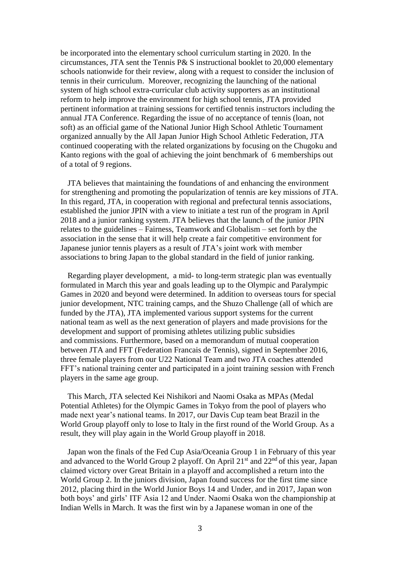be incorporated into the elementary school curriculum starting in 2020. In the circumstances, JTA sent the Tennis P& S instructional booklet to 20,000 elementary schools nationwide for their review, along with a request to consider the inclusion of tennis in their curriculum. Moreover, recognizing the launching of the national system of high school extra-curricular club activity supporters as an institutional reform to help improve the environment for high school tennis, JTA provided pertinent information at training sessions for certified tennis instructors including the annual JTA Conference. Regarding the issue of no acceptance of tennis (loan, not soft) as an official game of the National Junior High School Athletic Tournament organized annually by the All Japan Junior High School Athletic Federation, JTA continued cooperating with the related organizations by focusing on the Chugoku and Kanto regions with the goal of achieving the joint benchmark of 6 memberships out of a total of 9 regions.

JTA believes that maintaining the foundations of and enhancing the environment for strengthening and promoting the popularization of tennis are key missions of JTA. In this regard, JTA, in cooperation with regional and prefectural tennis associations, established the junior JPIN with a view to initiate a test run of the program in April 2018 and a junior ranking system. JTA believes that the launch of the junior JPIN relates to the guidelines – Fairness, Teamwork and Globalism – set forth by the association in the sense that it will help create a fair competitive environment for Japanese junior tennis players as a result of JTA's joint work with member associations to bring Japan to the global standard in the field of junior ranking.

Regarding player development, a mid- to long-term strategic plan was eventually formulated in March this year and goals leading up to the Olympic and Paralympic Games in 2020 and beyond were determined. In addition to overseas tours for special junior development, NTC training camps, and the Shuzo Challenge (all of which are funded by the JTA), JTA implemented various support systems for the current national team as well as the next generation of players and made provisions for the development and support of promising athletes utilizing public subsidies and commissions. Furthermore, based on a memorandum of mutual cooperation between JTA and FFT (Federation Francais de Tennis), signed in September 2016, three female players from our U22 National Team and two JTA coaches attended FFT's national training center and participated in a joint training session with French players in the same age group.

This March, JTA selected Kei Nishikori and Naomi Osaka as MPAs (Medal Potential Athletes) for the Olympic Games in Tokyo from the pool of players who made next year's national teams. In 2017, our Davis Cup team beat Brazil in the World Group playoff only to lose to Italy in the first round of the World Group. As a result, they will play again in the World Group playoff in 2018.

Japan won the finals of the Fed Cup Asia/Oceania Group 1 in February of this year and advanced to the World Group 2 playoff. On April  $21<sup>st</sup>$  and  $22<sup>nd</sup>$  of this year, Japan claimed victory over Great Britain in a playoff and accomplished a return into the World Group 2. In the juniors division, Japan found success for the first time since 2012, placing third in the World Junior Boys 14 and Under, and in 2017, Japan won both boys' and girls' ITF Asia 12 and Under. Naomi Osaka won the championship at Indian Wells in March. It was the first win by a Japanese woman in one of the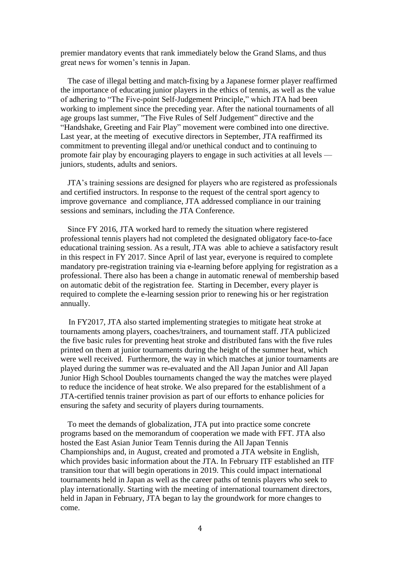premier mandatory events that rank immediately below the Grand Slams, and thus great news for women's tennis in Japan.

The case of illegal betting and match-fixing by a Japanese former player reaffirmed the importance of educating junior players in the ethics of tennis, as well as the value of adhering to "The Five-point Self-Judgement Principle," which JTA had been working to implement since the preceding year. After the national tournaments of all age groups last summer, "The Five Rules of Self Judgement" directive and the "Handshake, Greeting and Fair Play" movement were combined into one directive. Last year, at the meeting of executive directors in September, JTA reaffirmed its commitment to preventing illegal and/or unethical conduct and to continuing to promote fair play by encouraging players to engage in such activities at all levels juniors, students, adults and seniors.

JTA's training sessions are designed for players who are registered as professionals and certified instructors. In response to the request of the central sport agency to improve governance and compliance, JTA addressed compliance in our training sessions and seminars, including the JTA Conference.

Since FY 2016, JTA worked hard to remedy the situation where registered professional tennis players had not completed the designated obligatory face-to-face educational training session. As a result, JTA was able to achieve a satisfactory result in this respect in FY 2017. Since April of last year, everyone is required to complete mandatory pre-registration training via e-learning before applying for registration as a professional. There also has been a change in automatic renewal of membership based on automatic debit of the registration fee. Starting in December, every player is required to complete the e-learning session prior to renewing his or her registration annually.

In FY2017, JTA also started implementing strategies to mitigate heat stroke at tournaments among players, coaches/trainers, and tournament staff. JTA publicized the five basic rules for preventing heat stroke and distributed fans with the five rules printed on them at junior tournaments during the height of the summer heat, which were well received. Furthermore, the way in which matches at junior tournaments are played during the summer was re-evaluated and the All Japan Junior and All Japan Junior High School Doubles tournaments changed the way the matches were played to reduce the incidence of heat stroke. We also prepared for the establishment of a JTA-certified tennis trainer provision as part of our efforts to enhance policies for ensuring the safety and security of players during tournaments.

To meet the demands of globalization, JTA put into practice some concrete programs based on the memorandum of cooperation we made with FFT. JTA also hosted the East Asian Junior Team Tennis during the All Japan Tennis Championships and, in August, created and promoted a JTA website in English, which provides basic information about the JTA. In February ITF established an ITF transition tour that will begin operations in 2019. This could impact international tournaments held in Japan as well as the career paths of tennis players who seek to play internationally. Starting with the meeting of international tournament directors, held in Japan in February, JTA began to lay the groundwork for more changes to come.